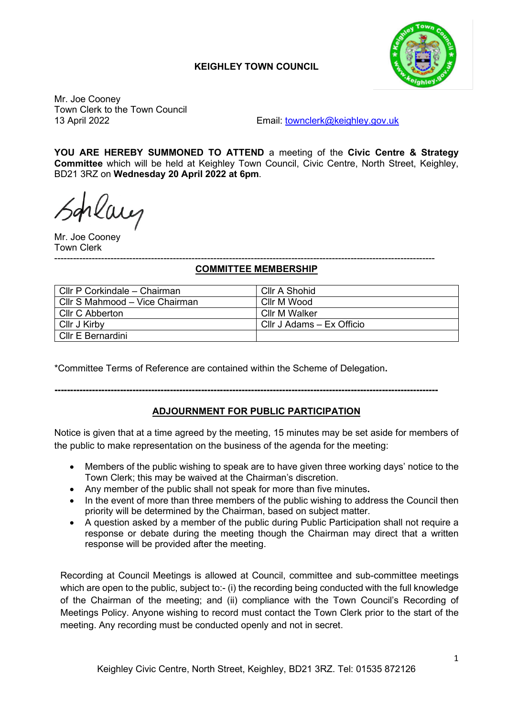# **KEIGHLEY TOWN COUNCIL**



Mr. Joe Cooney Town Clerk to the Town Council

13 April 2022 Email: [townclerk@keighley.gov.uk](mailto:townclerk@keighley.gov.uk)

**YOU ARE HEREBY SUMMONED TO ATTEND** a meeting of the **Civic Centre & Strategy Committee** which will be held at Keighley Town Council, Civic Centre, North Street, Keighley, BD21 3RZ on **Wednesday 20 April 2022 at 6pm**.

rlaug

Mr. Joe Cooney Town Clerk

#### -------------------------------------------------------------------------------------------------------------------------- **COMMITTEE MEMBERSHIP**

| Cllr P Corkindale - Chairman   | Cllr A Shohid             |
|--------------------------------|---------------------------|
| Cllr S Mahmood – Vice Chairman | Cllr M Wood               |
| Cllr C Abberton                | Cllr M Walker             |
| Cllr J Kirby                   | CIIr J Adams – Ex Officio |
| Cllr E Bernardini              |                           |

\*Committee Terms of Reference are contained within the Scheme of Delegation**.** 

## **---------------------------------------------------------------------------------------------------------------------------**

### **ADJOURNMENT FOR PUBLIC PARTICIPATION**

Notice is given that at a time agreed by the meeting, 15 minutes may be set aside for members of the public to make representation on the business of the agenda for the meeting:

- Members of the public wishing to speak are to have given three working days' notice to the Town Clerk; this may be waived at the Chairman's discretion.
- Any member of the public shall not speak for more than five minutes**.**
- In the event of more than three members of the public wishing to address the Council then priority will be determined by the Chairman, based on subject matter.
- A question asked by a member of the public during Public Participation shall not require a response or debate during the meeting though the Chairman may direct that a written response will be provided after the meeting.

Recording at Council Meetings is allowed at Council, committee and sub-committee meetings which are open to the public, subject to:- (i) the recording being conducted with the full knowledge of the Chairman of the meeting; and (ii) compliance with the Town Council's Recording of Meetings Policy. Anyone wishing to record must contact the Town Clerk prior to the start of the meeting. Any recording must be conducted openly and not in secret.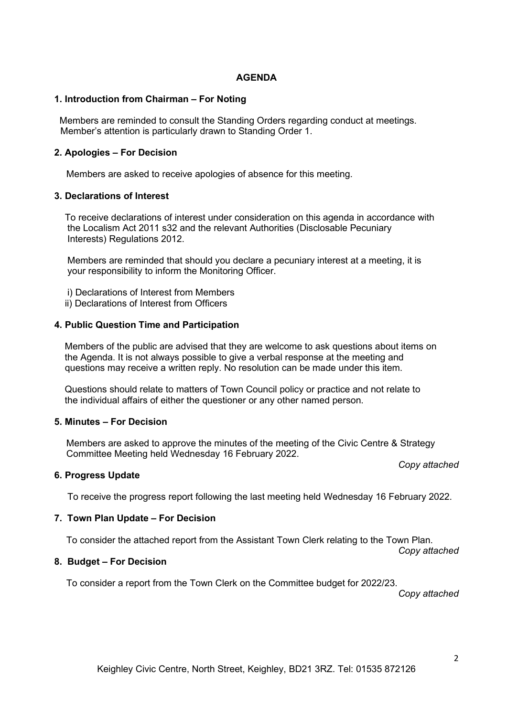### **AGENDA**

#### **1. Introduction from Chairman – For Noting**

 Members are reminded to consult the Standing Orders regarding conduct at meetings. Member's attention is particularly drawn to Standing Order 1.

### **2. Apologies – For Decision**

Members are asked to receive apologies of absence for this meeting.

#### **3. Declarations of Interest**

 To receive declarations of interest under consideration on this agenda in accordance with the Localism Act 2011 s32 and the relevant Authorities (Disclosable Pecuniary Interests) Regulations 2012.

 Members are reminded that should you declare a pecuniary interest at a meeting, it is your responsibility to inform the Monitoring Officer.

- i) Declarations of Interest from Members
- ii) Declarations of Interest from Officers

#### **4. Public Question Time and Participation**

 Members of the public are advised that they are welcome to ask questions about items on the Agenda. It is not always possible to give a verbal response at the meeting and questions may receive a written reply. No resolution can be made under this item.

 Questions should relate to matters of Town Council policy or practice and not relate to the individual affairs of either the questioner or any other named person.

#### **5. Minutes – For Decision**

Members are asked to approve the minutes of the meeting of the Civic Centre & Strategy Committee Meeting held Wednesday 16 February 2022.

### **6. Progress Update**

To receive the progress report following the last meeting held Wednesday 16 February 2022.

### **7. Town Plan Update – For Decision**

To consider the attached report from the Assistant Town Clerk relating to the Town Plan.

## **8. Budget – For Decision**

To consider a report from the Town Clerk on the Committee budget for 2022/23.

*Copy attached*

*Copy attached*

*Copy attached*